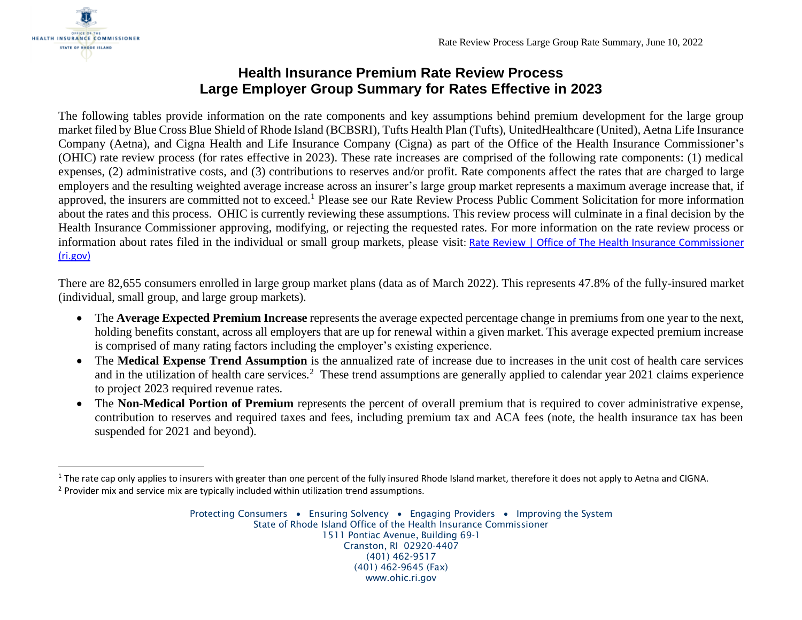

## **Health Insurance Premium Rate Review Process Large Employer Group Summary for Rates Effective in 2023**

The following tables provide information on the rate components and key assumptions behind premium development for the large group market filed by Blue Cross Blue Shield of Rhode Island (BCBSRI), Tufts Health Plan (Tufts), UnitedHealthcare (United), Aetna Life Insurance Company (Aetna), and Cigna Health and Life Insurance Company (Cigna) as part of the Office of the Health Insurance Commissioner's (OHIC) rate review process (for rates effective in 2023). These rate increases are comprised of the following rate components: (1) medical expenses, (2) administrative costs, and (3) contributions to reserves and/or profit. Rate components affect the rates that are charged to large employers and the resulting weighted average increase across an insurer's large group market represents a maximum average increase that, if approved, the insurers are committed not to exceed.<sup>1</sup> Please see our Rate Review Process Public Comment Solicitation for more information about the rates and this process. OHIC is currently reviewing these assumptions. This review process will culminate in a final decision by the Health Insurance Commissioner approving, modifying, or rejecting the requested rates. For more information on the rate review process or information about rates filed in the individual or small group markets, please visit: Rate Review | Office of The Health Insurance Commissioner [\(ri.gov\)](https://ohic.ri.gov/regulatory-review/rate-review)

There are 82,655 consumers enrolled in large group market plans (data as of March 2022). This represents 47.8% of the fully-insured market (individual, small group, and large group markets).

- The **Average Expected Premium Increase** represents the average expected percentage change in premiums from one year to the next, holding benefits constant, across all employers that are up for renewal within a given market. This average expected premium increase is comprised of many rating factors including the employer's existing experience.
- The **Medical Expense Trend Assumption** is the annualized rate of increase due to increases in the unit cost of health care services and in the utilization of health care services.<sup>2</sup> These trend assumptions are generally applied to calendar year 2021 claims experience to project 2023 required revenue rates.
- The **Non-Medical Portion of Premium** represents the percent of overall premium that is required to cover administrative expense, contribution to reserves and required taxes and fees, including premium tax and ACA fees (note, the health insurance tax has been suspended for 2021 and beyond).

<sup>&</sup>lt;sup>1</sup> The rate cap only applies to insurers with greater than one percent of the fully insured Rhode Island market, therefore it does not apply to Aetna and CIGNA. <sup>2</sup> Provider mix and service mix are typically included within utilization trend assumptions.